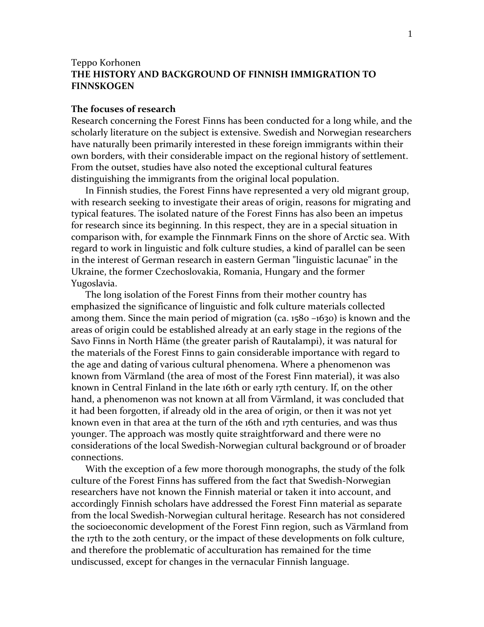## Teppo Korhonen **THE HISTORY AND BACKGROUND OF FINNISH IMMIGRATION TO FINNSKOGEN**

## **The focuses of research**

Research concerning the Forest Finns has been conducted for a long while, and the scholarly literature on the subject is extensive. Swedish and Norwegian researchers have naturally been primarily interested in these foreign immigrants within their own borders, with their considerable impact on the regional history of settlement. From the outset, studies have also noted the exceptional cultural features distinguishing the immigrants from the original local population.

In Finnish studies, the Forest Finns have represented a very old migrant group, with research seeking to investigate their areas of origin, reasons for migrating and typical features. The isolated nature of the Forest Finns has also been an impetus for research since its beginning. In this respect, they are in a special situation in comparison with, for example the Finnmark Finns on the shore of Arctic sea. With regard to work in linguistic and folk culture studies, a kind of parallel can be seen in the interest of German research in eastern German "linguistic lacunae" in the Ukraine, the former Czechoslovakia, Romania, Hungary and the former Yugoslavia.

The long isolation of the Forest Finns from their mother country has emphasized the significance of linguistic and folk culture materials collected among them. Since the main period of migration (ca. 1580 –1630) is known and the areas of origin could be established already at an early stage in the regions of the Savo Finns in North Häme (the greater parish of Rautalampi), it was natural for the materials of the Forest Finns to gain considerable importance with regard to the age and dating of various cultural phenomena. Where a phenomenon was known from Värmland (the area of most of the Forest Finn material), it was also known in Central Finland in the late 16th or early 17th century. If, on the other hand, a phenomenon was not known at all from Värmland, it was concluded that it had been forgotten, if already old in the area of origin, or then it was not yet known even in that area at the turn of the 16th and 17th centuries, and was thus younger. The approach was mostly quite straightforward and there were no considerations of the local Swedish-Norwegian cultural background or of broader connections.

With the exception of a few more thorough monographs, the study of the folk culture of the Forest Finns has suffered from the fact that Swedish-Norwegian researchers have not known the Finnish material or taken it into account, and accordingly Finnish scholars have addressed the Forest Finn material as separate from the local Swedish-Norwegian cultural heritage. Research has not considered the socioeconomic development of the Forest Finn region, such as Värmland from the 17th to the 20th century, or the impact of these developments on folk culture, and therefore the problematic of acculturation has remained for the time undiscussed, except for changes in the vernacular Finnish language.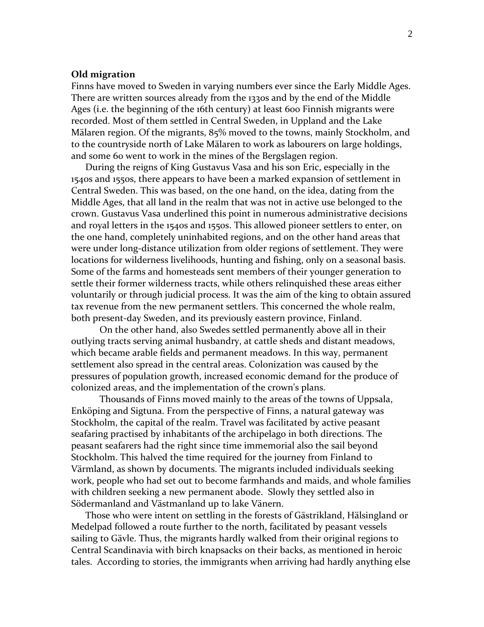### **Old migration**

Finns have moved to Sweden in varying numbers ever since the Early Middle Ages. There are written sources already from the 1330s and by the end of the Middle Ages (i.e. the beginning of the 16th century) at least 600 Finnish migrants were recorded. Most of them settled in Central Sweden, in Uppland and the Lake Mälaren region. Of the migrants, 85% moved to the towns, mainly Stockholm, and to the countryside north of Lake Mälaren to work as labourers on large holdings, and some 60 went to work in the mines of the Bergslagen region.

During the reigns of King Gustavus Vasa and his son Eric, especially in the 1540s and 1550s, there appears to have been a marked expansion of settlement in Central Sweden. This was based, on the one hand, on the idea, dating from the Middle Ages, that all land in the realm that was not in active use belonged to the crown. Gustavus Vasa underlined this point in numerous administrative decisions and royal letters in the 1540s and 1550s. This allowed pioneer settlers to enter, on the one hand, completely uninhabited regions, and on the other hand areas that were under long-distance utilization from older regions of settlement. They were locations for wilderness livelihoods, hunting and fishing, only on a seasonal basis. Some of the farms and homesteads sent members of their younger generation to settle their former wilderness tracts, while others relinquished these areas either voluntarily or through judicial process. It was the aim of the king to obtain assured tax revenue from the new permanent settlers. This concerned the whole realm, both present-day Sweden, and its previously eastern province, Finland.

On the other hand, also Swedes settled permanently above all in their outlying tracts serving animal husbandry, at cattle sheds and distant meadows, which became arable fields and permanent meadows. In this way, permanent settlement also spread in the central areas. Colonization was caused by the pressures of population growth, increased economic demand for the produce of colonized areas, and the implementation of the crown's plans.

Thousands of Finns moved mainly to the areas of the towns of Uppsala, Enköping and Sigtuna. From the perspective of Finns, a natural gateway was Stockholm, the capital of the realm. Travel was facilitated by active peasant seafaring practised by inhabitants of the archipelago in both directions. The peasant seafarers had the right since time immemorial also the sail beyond Stockholm. This halved the time required for the journey from Finland to Värmland, as shown by documents. The migrants included individuals seeking work, people who had set out to become farmhands and maids, and whole families with children seeking a new permanent abode. Slowly they settled also in Södermanland and Västmanland up to lake Vänern.

Those who were intent on settling in the forests of Gästrikland, Hälsingland or Medelpad followed a route further to the north, facilitated by peasant vessels sailing to Gävle. Thus, the migrants hardly walked from their original regions to Central Scandinavia with birch knapsacks on their backs, as mentioned in heroic tales. According to stories, the immigrants when arriving had hardly anything else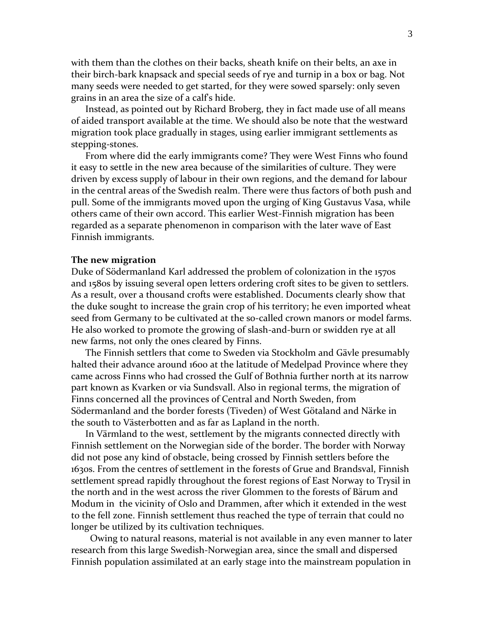with them than the clothes on their backs, sheath knife on their belts, an axe in their birch-bark knapsack and special seeds of rye and turnip in a box or bag. Not many seeds were needed to get started, for they were sowed sparsely: only seven grains in an area the size of a calf's hide.

Instead, as pointed out by Richard Broberg, they in fact made use of all means of aided transport available at the time. We should also be note that the westward migration took place gradually in stages, using earlier immigrant settlements as stepping-stones.

From where did the early immigrants come? They were West Finns who found it easy to settle in the new area because of the similarities of culture. They were driven by excess supply of labour in their own regions, and the demand for labour in the central areas of the Swedish realm. There were thus factors of both push and pull. Some of the immigrants moved upon the urging of King Gustavus Vasa, while others came of their own accord. This earlier West-Finnish migration has been regarded as a separate phenomenon in comparison with the later wave of East Finnish immigrants.

#### **The new migration**

Duke of Södermanland Karl addressed the problem of colonization in the 1570s and 1580s by issuing several open letters ordering croft sites to be given to settlers. As a result, over a thousand crofts were established. Documents clearly show that the duke sought to increase the grain crop of his territory; he even imported wheat seed from Germany to be cultivated at the so-called crown manors or model farms. He also worked to promote the growing of slash-and-burn or swidden rye at all new farms, not only the ones cleared by Finns.

The Finnish settlers that come to Sweden via Stockholm and Gävle presumably halted their advance around 1600 at the latitude of Medelpad Province where they came across Finns who had crossed the Gulf of Bothnia further north at its narrow part known as Kvarken or via Sundsvall. Also in regional terms, the migration of Finns concerned all the provinces of Central and North Sweden, from Södermanland and the border forests (Tiveden) of West Götaland and Närke in the south to Västerbotten and as far as Lapland in the north.

In Värmland to the west, settlement by the migrants connected directly with Finnish settlement on the Norwegian side of the border. The border with Norway did not pose any kind of obstacle, being crossed by Finnish settlers before the 1630s. From the centres of settlement in the forests of Grue and Brandsval, Finnish settlement spread rapidly throughout the forest regions of East Norway to Trysil in the north and in the west across the river Glommen to the forests of Bärum and Modum in the vicinity of Oslo and Drammen, after which it extended in the west to the fell zone. Finnish settlement thus reached the type of terrain that could no longer be utilized by its cultivation techniques.

Owing to natural reasons, material is not available in any even manner to later research from this large Swedish-Norwegian area, since the small and dispersed Finnish population assimilated at an early stage into the mainstream population in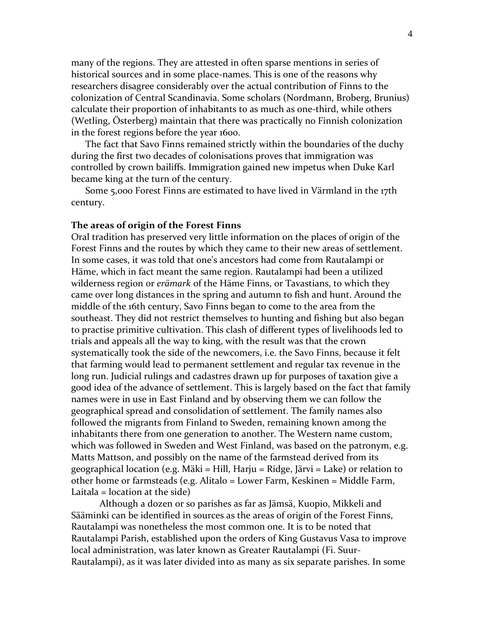many of the regions. They are attested in often sparse mentions in series of historical sources and in some place-names. This is one of the reasons why researchers disagree considerably over the actual contribution of Finns to the colonization of Central Scandinavia. Some scholars (Nordmann, Broberg, Brunius) calculate their proportion of inhabitants to as much as one-third, while others (Wetling, Österberg) maintain that there was practically no Finnish colonization in the forest regions before the year 1600.

The fact that Savo Finns remained strictly within the boundaries of the duchy during the first two decades of colonisations proves that immigration was controlled by crown bailiffs. Immigration gained new impetus when Duke Karl became king at the turn of the century.

Some 5,000 Forest Finns are estimated to have lived in Värmland in the 17th century.

#### **The areas of origin of the Forest Finns**

Oral tradition has preserved very little information on the places of origin of the Forest Finns and the routes by which they came to their new areas of settlement. In some cases, it was told that one's ancestors had come from Rautalampi or Häme, which in fact meant the same region. Rautalampi had been a utilized wilderness region or *erämark* of the Häme Finns, or Tavastians, to which they came over long distances in the spring and autumn to fish and hunt. Around the middle of the 16th century, Savo Finns began to come to the area from the southeast. They did not restrict themselves to hunting and fishing but also began to practise primitive cultivation. This clash of different types of livelihoods led to trials and appeals all the way to king, with the result was that the crown systematically took the side of the newcomers, i.e. the Savo Finns, because it felt that farming would lead to permanent settlement and regular tax revenue in the long run. Judicial rulings and cadastres drawn up for purposes of taxation give a good idea of the advance of settlement. This is largely based on the fact that family names were in use in East Finland and by observing them we can follow the geographical spread and consolidation of settlement. The family names also followed the migrants from Finland to Sweden, remaining known among the inhabitants there from one generation to another. The Western name custom, which was followed in Sweden and West Finland, was based on the patronym, e.g. Matts Mattson, and possibly on the name of the farmstead derived from its geographical location (e.g. Mäki = Hill, Harju = Ridge, Järvi = Lake) or relation to other home or farmsteads (e.g. Alitalo = Lower Farm, Keskinen = Middle Farm, Laitala = location at the side)

Although a dozen or so parishes as far as Jämsä, Kuopio, Mikkeli and Sääminki can be identified in sources as the areas of origin of the Forest Finns, Rautalampi was nonetheless the most common one. It is to be noted that Rautalampi Parish, established upon the orders of King Gustavus Vasa to improve local administration, was later known as Greater Rautalampi (Fi. Suur-Rautalampi), as it was later divided into as many as six separate parishes. In some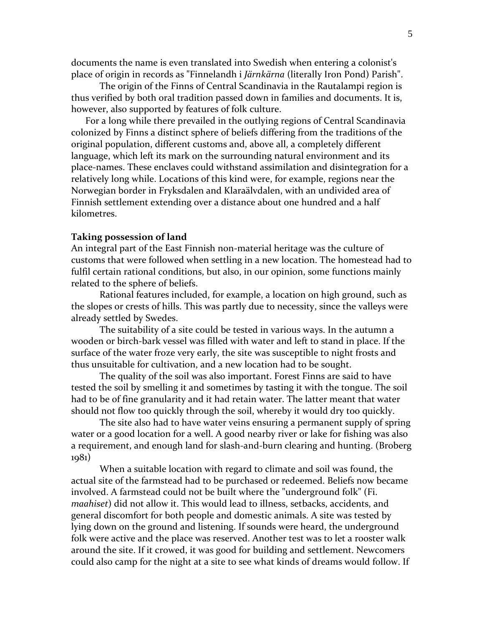documents the name is even translated into Swedish when entering a colonist's place of origin in records as "Finnelandh i *Järnkärna* (literally Iron Pond) Parish".

The origin of the Finns of Central Scandinavia in the Rautalampi region is thus verified by both oral tradition passed down in families and documents. It is, however, also supported by features of folk culture.

For a long while there prevailed in the outlying regions of Central Scandinavia colonized by Finns a distinct sphere of beliefs differing from the traditions of the original population, different customs and, above all, a completely different language, which left its mark on the surrounding natural environment and its place-names. These enclaves could withstand assimilation and disintegration for a relatively long while. Locations of this kind were, for example, regions near the Norwegian border in Fryksdalen and Klaraälvdalen, with an undivided area of Finnish settlement extending over a distance about one hundred and a half kilometres.

### **Taking possession of land**

An integral part of the East Finnish non-material heritage was the culture of customs that were followed when settling in a new location. The homestead had to fulfil certain rational conditions, but also, in our opinion, some functions mainly related to the sphere of beliefs.

Rational features included, for example, a location on high ground, such as the slopes or crests of hills. This was partly due to necessity, since the valleys were already settled by Swedes.

The suitability of a site could be tested in various ways. In the autumn a wooden or birch-bark vessel was filled with water and left to stand in place. If the surface of the water froze very early, the site was susceptible to night frosts and thus unsuitable for cultivation, and a new location had to be sought.

The quality of the soil was also important. Forest Finns are said to have tested the soil by smelling it and sometimes by tasting it with the tongue. The soil had to be of fine granularity and it had retain water. The latter meant that water should not flow too quickly through the soil, whereby it would dry too quickly.

The site also had to have water veins ensuring a permanent supply of spring water or a good location for a well. A good nearby river or lake for fishing was also a requirement, and enough land for slash-and-burn clearing and hunting. (Broberg 1981)

When a suitable location with regard to climate and soil was found, the actual site of the farmstead had to be purchased or redeemed. Beliefs now became involved. A farmstead could not be built where the "underground folk" (Fi. *maahiset*) did not allow it. This would lead to illness, setbacks, accidents, and general discomfort for both people and domestic animals. A site was tested by lying down on the ground and listening. If sounds were heard, the underground folk were active and the place was reserved. Another test was to let a rooster walk around the site. If it crowed, it was good for building and settlement. Newcomers could also camp for the night at a site to see what kinds of dreams would follow. If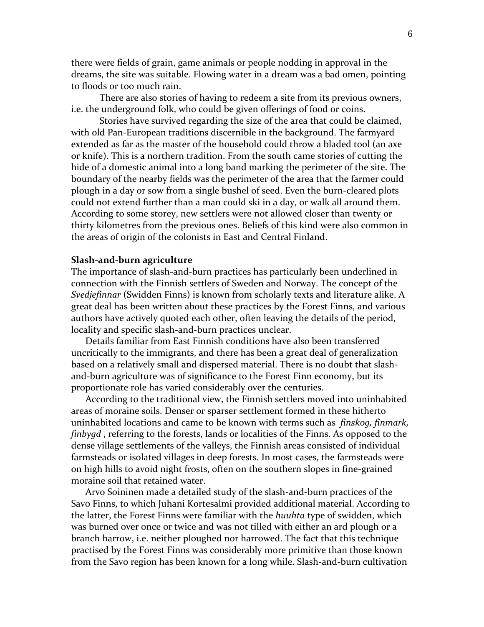there were fields of grain, game animals or people nodding in approval in the dreams, the site was suitable. Flowing water in a dream was a bad omen, pointing to floods or too much rain.

There are also stories of having to redeem a site from its previous owners, i.e. the underground folk, who could be given offerings of food or coins.

Stories have survived regarding the size of the area that could be claimed, with old Pan-European traditions discernible in the background. The farmyard extended as far as the master of the household could throw a bladed tool (an axe or knife). This is a northern tradition. From the south came stories of cutting the hide of a domestic animal into a long band marking the perimeter of the site. The boundary of the nearby fields was the perimeter of the area that the farmer could plough in a day or sow from a single bushel of seed. Even the burn-cleared plots could not extend further than a man could ski in a day, or walk all around them. According to some storey, new settlers were not allowed closer than twenty or thirty kilometres from the previous ones. Beliefs of this kind were also common in the areas of origin of the colonists in East and Central Finland.

### **Slash-and-burn agriculture**

The importance of slash-and-burn practices has particularly been underlined in connection with the Finnish settlers of Sweden and Norway. The concept of the *Svedjefinnar* (Swidden Finns) is known from scholarly texts and literature alike. A great deal has been written about these practices by the Forest Finns, and various authors have actively quoted each other, often leaving the details of the period, locality and specific slash-and-burn practices unclear.

Details familiar from East Finnish conditions have also been transferred uncritically to the immigrants, and there has been a great deal of generalization based on a relatively small and dispersed material. There is no doubt that slashand-burn agriculture was of significance to the Forest Finn economy, but its proportionate role has varied considerably over the centuries.

According to the traditional view, the Finnish settlers moved into uninhabited areas of moraine soils. Denser or sparser settlement formed in these hitherto uninhabited locations and came to be known with terms such as *finskog, finmark, finbygd* , referring to the forests, lands or localities of the Finns. As opposed to the dense village settlements of the valleys, the Finnish areas consisted of individual farmsteads or isolated villages in deep forests. In most cases, the farmsteads were on high hills to avoid night frosts, often on the southern slopes in fine-grained moraine soil that retained water.

Arvo Soininen made a detailed study of the slash-and-burn practices of the Savo Finns, to which Juhani Kortesalmi provided additional material. According to the latter, the Forest Finns were familiar with the *huuhta* type of swidden, which was burned over once or twice and was not tilled with either an ard plough or a branch harrow, i.e. neither ploughed nor harrowed. The fact that this technique practised by the Forest Finns was considerably more primitive than those known from the Savo region has been known for a long while. Slash-and-burn cultivation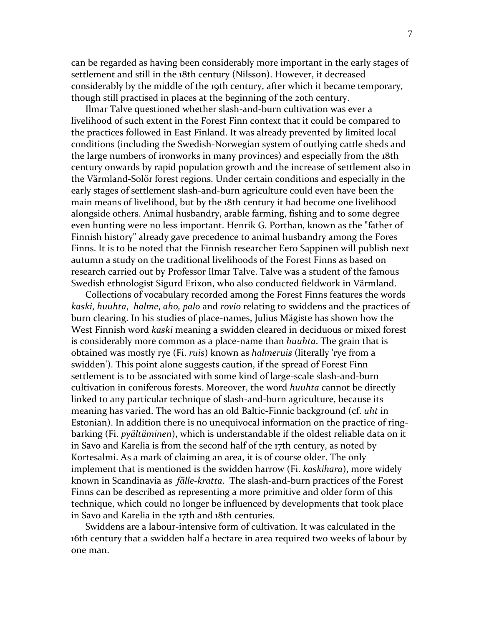can be regarded as having been considerably more important in the early stages of settlement and still in the 18th century (Nilsson). However, it decreased considerably by the middle of the 19th century, after which it became temporary, though still practised in places at the beginning of the 20th century.

Ilmar Talve questioned whether slash-and-burn cultivation was ever a livelihood of such extent in the Forest Finn context that it could be compared to the practices followed in East Finland. It was already prevented by limited local conditions (including the Swedish-Norwegian system of outlying cattle sheds and the large numbers of ironworks in many provinces) and especially from the 18th century onwards by rapid population growth and the increase of settlement also in the Värmland-Solör forest regions. Under certain conditions and especially in the early stages of settlement slash-and-burn agriculture could even have been the main means of livelihood, but by the 18th century it had become one livelihood alongside others. Animal husbandry, arable farming, fishing and to some degree even hunting were no less important. Henrik G. Porthan, known as the "father of Finnish history" already gave precedence to animal husbandry among the Fores Finns. It is to be noted that the Finnish researcher Eero Sappinen will publish next autumn a study on the traditional livelihoods of the Forest Finns as based on research carried out by Professor Ilmar Talve. Talve was a student of the famous Swedish ethnologist Sigurd Erixon, who also conducted fieldwork in Värmland.

Collections of vocabulary recorded among the Forest Finns features the words *kaski*, *huuhta*, *halme*, *aho, palo* and *rovio* relating to swiddens and the practices of burn clearing. In his studies of place-names, Julius Mägiste has shown how the West Finnish word *kaski* meaning a swidden cleared in deciduous or mixed forest is considerably more common as a place-name than *huuhta*. The grain that is obtained was mostly rye (Fi. *ruis*) known as *halmeruis* (literally 'rye from a swidden'). This point alone suggests caution, if the spread of Forest Finn settlement is to be associated with some kind of large-scale slash-and-burn cultivation in coniferous forests. Moreover, the word *huuhta* cannot be directly linked to any particular technique of slash-and-burn agriculture, because its meaning has varied. The word has an old Baltic-Finnic background (cf. *uht* in Estonian). In addition there is no unequivocal information on the practice of ringbarking (Fi. *pyältäminen*), which is understandable if the oldest reliable data on it in Savo and Karelia is from the second half of the 17th century, as noted by Kortesalmi. As a mark of claiming an area, it is of course older. The only implement that is mentioned is the swidden harrow (Fi. *kaskihara*), more widely known in Scandinavia as *fälle-kratta*. The slash-and-burn practices of the Forest Finns can be described as representing a more primitive and older form of this technique, which could no longer be influenced by developments that took place in Savo and Karelia in the 17th and 18th centuries.

Swiddens are a labour-intensive form of cultivation. It was calculated in the 16th century that a swidden half a hectare in area required two weeks of labour by one man.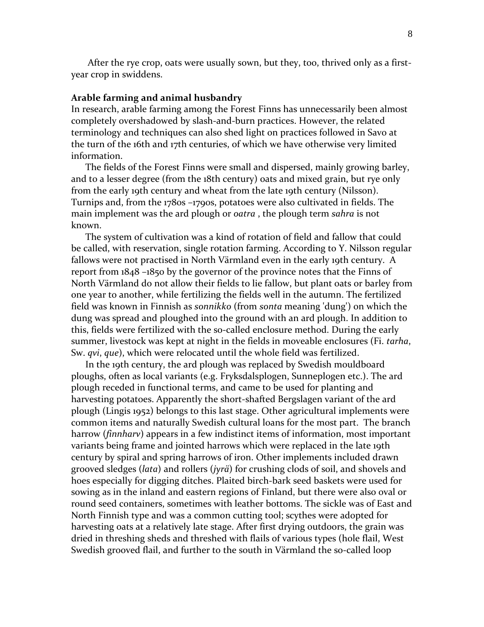After the rye crop, oats were usually sown, but they, too, thrived only as a firstyear crop in swiddens.

#### **Arable farming and animal husbandry**

In research, arable farming among the Forest Finns has unnecessarily been almost completely overshadowed by slash-and-burn practices. However, the related terminology and techniques can also shed light on practices followed in Savo at the turn of the 16th and 17th centuries, of which we have otherwise very limited information.

The fields of the Forest Finns were small and dispersed, mainly growing barley, and to a lesser degree (from the 18th century) oats and mixed grain, but rye only from the early 19th century and wheat from the late 19th century (Nilsson). Turnips and, from the 1780s –1790s, potatoes were also cultivated in fields. The main implement was the ard plough or *oatra* , the plough term *sahra* is not known.

The system of cultivation was a kind of rotation of field and fallow that could be called, with reservation, single rotation farming. According to Y. Nilsson regular fallows were not practised in North Värmland even in the early 19th century. A report from 1848 –1850 by the governor of the province notes that the Finns of North Värmland do not allow their fields to lie fallow, but plant oats or barley from one year to another, while fertilizing the fields well in the autumn. The fertilized field was known in Finnish as *sonnikko* (from *sonta* meaning 'dung') on which the dung was spread and ploughed into the ground with an ard plough. In addition to this, fields were fertilized with the so-called enclosure method. During the early summer, livestock was kept at night in the fields in moveable enclosures (Fi. *tarha*, Sw. *qvi*, *que*), which were relocated until the whole field was fertilized.

In the 19th century, the ard plough was replaced by Swedish mouldboard ploughs, often as local variants (e.g. Fryksdalsplogen, Sunneplogen etc.). The ard plough receded in functional terms, and came to be used for planting and harvesting potatoes. Apparently the short-shafted Bergslagen variant of the ard plough (Lingis 1952) belongs to this last stage. Other agricultural implements were common items and naturally Swedish cultural loans for the most part. The branch harrow (*finnharv*) appears in a few indistinct items of information, most important variants being frame and jointed harrows which were replaced in the late 19th century by spiral and spring harrows of iron. Other implements included drawn grooved sledges (*lata*) and rollers (*jyrä*) for crushing clods of soil, and shovels and hoes especially for digging ditches. Plaited birch-bark seed baskets were used for sowing as in the inland and eastern regions of Finland, but there were also oval or round seed containers, sometimes with leather bottoms. The sickle was of East and North Finnish type and was a common cutting tool; scythes were adopted for harvesting oats at a relatively late stage. After first drying outdoors, the grain was dried in threshing sheds and threshed with flails of various types (hole flail, West Swedish grooved flail, and further to the south in Värmland the so-called loop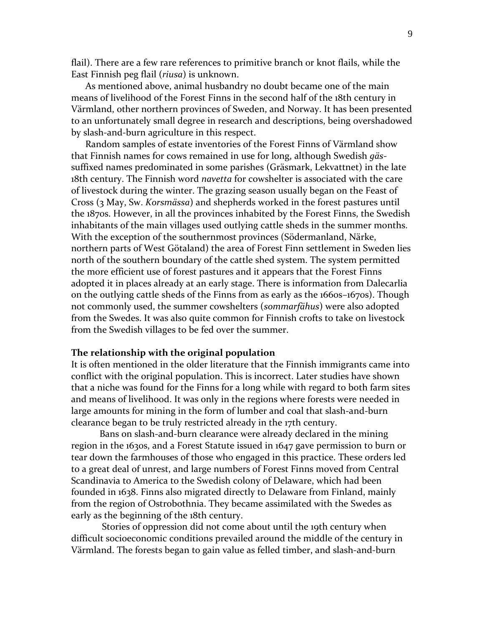flail). There are a few rare references to primitive branch or knot flails, while the East Finnish peg flail (*riusa*) is unknown.

As mentioned above, animal husbandry no doubt became one of the main means of livelihood of the Forest Finns in the second half of the 18th century in Värmland, other northern provinces of Sweden, and Norway. It has been presented to an unfortunately small degree in research and descriptions, being overshadowed by slash-and-burn agriculture in this respect.

Random samples of estate inventories of the Forest Finns of Värmland show that Finnish names for cows remained in use for long, although Swedish *gäs*suffixed names predominated in some parishes (Gräsmark, Lekvattnet) in the late 18th century. The Finnish word *navetta* for cowshelter is associated with the care of livestock during the winter. The grazing season usually began on the Feast of Cross (3 May, Sw. *Korsmässa*) and shepherds worked in the forest pastures until the 1870s. However, in all the provinces inhabited by the Forest Finns, the Swedish inhabitants of the main villages used outlying cattle sheds in the summer months. With the exception of the southernmost provinces (Södermanland, Närke, northern parts of West Götaland) the area of Forest Finn settlement in Sweden lies north of the southern boundary of the cattle shed system. The system permitted the more efficient use of forest pastures and it appears that the Forest Finns adopted it in places already at an early stage. There is information from Dalecarlia on the outlying cattle sheds of the Finns from as early as the 1660s–1670s). Though not commonly used, the summer cowshelters (*sommarfähus*) were also adopted from the Swedes. It was also quite common for Finnish crofts to take on livestock from the Swedish villages to be fed over the summer.

### **The relationship with the original population**

It is often mentioned in the older literature that the Finnish immigrants came into conflict with the original population. This is incorrect. Later studies have shown that a niche was found for the Finns for a long while with regard to both farm sites and means of livelihood. It was only in the regions where forests were needed in large amounts for mining in the form of lumber and coal that slash-and-burn clearance began to be truly restricted already in the 17th century.

Bans on slash-and-burn clearance were already declared in the mining region in the 1630s, and a Forest Statute issued in 1647 gave permission to burn or tear down the farmhouses of those who engaged in this practice. These orders led to a great deal of unrest, and large numbers of Forest Finns moved from Central Scandinavia to America to the Swedish colony of Delaware, which had been founded in 1638. Finns also migrated directly to Delaware from Finland, mainly from the region of Ostrobothnia. They became assimilated with the Swedes as early as the beginning of the 18th century.

Stories of oppression did not come about until the 19th century when difficult socioeconomic conditions prevailed around the middle of the century in Värmland. The forests began to gain value as felled timber, and slash-and-burn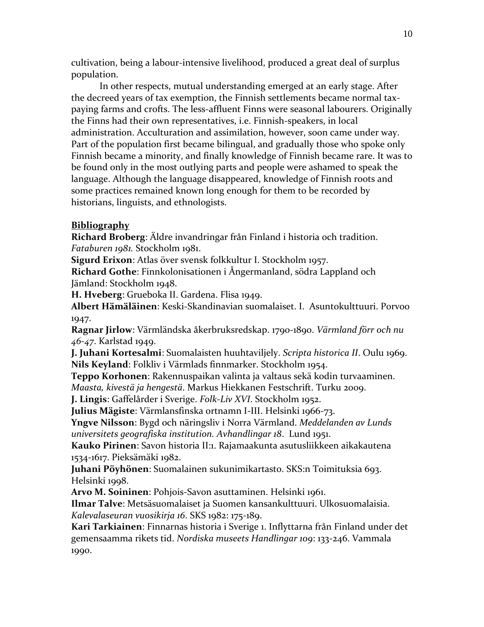cultivation, being a labour-intensive livelihood, produced a great deal of surplus population.

In other respects, mutual understanding emerged at an early stage. After the decreed years of tax exemption, the Finnish settlements became normal taxpaying farms and crofts. The less-affluent Finns were seasonal labourers. Originally the Finns had their own representatives, i.e. Finnish-speakers, in local administration. Acculturation and assimilation, however, soon came under way. Part of the population first became bilingual, and gradually those who spoke only Finnish became a minority, and finally knowledge of Finnish became rare. It was to be found only in the most outlying parts and people were ashamed to speak the language. Although the language disappeared, knowledge of Finnish roots and some practices remained known long enough for them to be recorded by historians, linguists, and ethnologists.

# **Bibliography**

**Richard Broberg**: Äldre invandringar från Finland i historia och tradition. *Fataburen 1981.* Stockholm 1981.

**Sigurd Erixon**: Atlas över svensk folkkultur I. Stockholm 1957.

**Richard Gothe**: Finnkolonisationen i Ångermanland, södra Lappland och Jämland: Stockholm 1948.

**H. Hveberg**: Grueboka II. Gardena. Flisa 1949.

**Albert Hämäläinen**: Keski-Skandinavian suomalaiset. I. Asuntokulttuuri. Porvoo 1947.

**Ragnar Jirlow**: Värmländska åkerbruksredskap. 1790-1890. *Värmland förr och nu 46-47*. Karlstad 1949.

**J. Juhani Kortesalmi**: Suomalaisten huuhtaviljely. *Scripta historica II*. Oulu 1969. **Nils Keyland**: Folkliv i Värmlads finnmarker. Stockholm 1954.

**Teppo Korhonen**: Rakennuspaikan valinta ja valtaus sekä kodin turvaaminen. *Maasta, kivestä ja hengestä*. Markus Hiekkanen Festschrift. Turku 2009.

**J. Lingis**: Gaffelårder i Sverige. *Folk-Liv XVI*. Stockholm 1952.

**Julius Mägiste**: Värmlansfinska ortnamn I-III. Helsinki 1966-73.

**Yngve Nilsson**: Bygd och näringsliv i Norra Värmland. *Meddelanden av Lunds universitets geografiska institution. Avhandlingar 18*. Lund 1951.

**Kauko Pirinen**: Savon historia II:1. Rajamaakunta asutusliikkeen aikakautena 1534-1617. Pieksämäki 1982.

**Juhani Pöyhönen**: Suomalainen sukunimikartasto. SKS:n Toimituksia 693. Helsinki 1998.

**Arvo M. Soininen**: Pohjois-Savon asuttaminen. Helsinki 1961.

**Ilmar Talve**: Metsäsuomalaiset ja Suomen kansankulttuuri. Ulkosuomalaisia. *Kalevalaseuran vuosikirja 16*. SKS 1982: 175-189.

**Kari Tarkiainen**: Finnarnas historia i Sverige 1. Inflyttarna från Finland under det gemensaamma rikets tid. *Nordiska museets Handlingar 109*: 133-246. Vammala 1990.